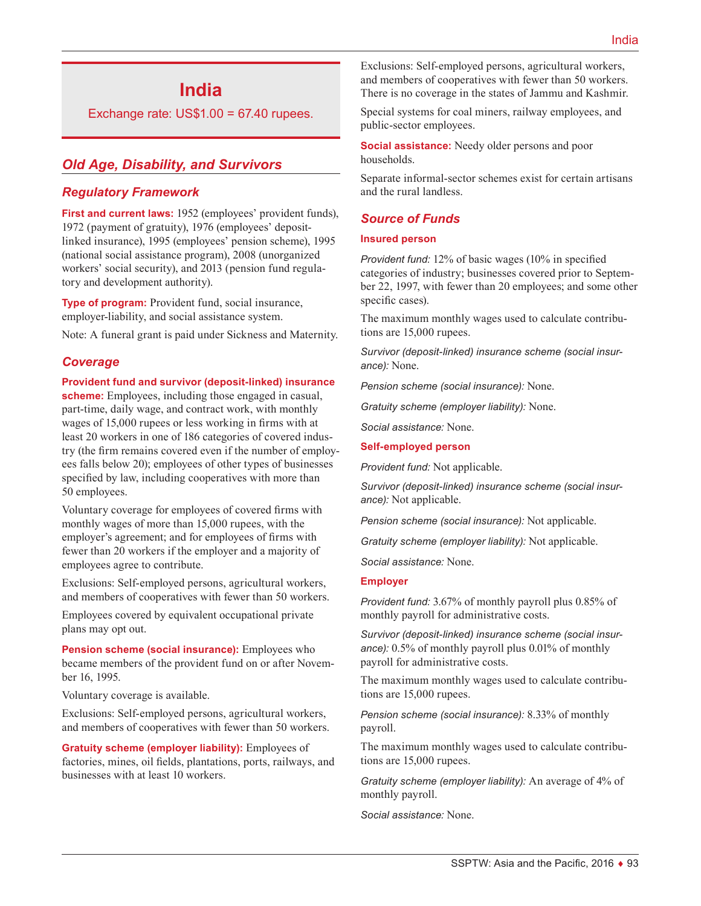# **India**

Exchange rate:  $US$1.00 = 67.40$  rupees.

# *Old Age, Disability, and Survivors*

### *Regulatory Framework*

**First and current laws:** 1952 (employees' provident funds), 1972 (payment of gratuity), 1976 (employees' depositlinked insurance), 1995 (employees' pension scheme), 1995 (national social assistance program), 2008 (unorganized workers' social security), and 2013 (pension fund regulatory and development authority).

**Type of program:** Provident fund, social insurance, employer-liability, and social assistance system.

Note: A funeral grant is paid under Sickness and Maternity.

### *Coverage*

#### **Provident fund and survivor (deposit-linked) insurance**

**scheme:** Employees, including those engaged in casual, part-time, daily wage, and contract work, with monthly wages of 15,000 rupees or less working in firms with at least 20 workers in one of 186 categories of covered industry (the firm remains covered even if the number of employees falls below 20); employees of other types of businesses specified by law, including cooperatives with more than 50 employees.

Voluntary coverage for employees of covered firms with monthly wages of more than 15,000 rupees, with the employer's agreement; and for employees of firms with fewer than 20 workers if the employer and a majority of employees agree to contribute.

Exclusions: Self-employed persons, agricultural workers, and members of cooperatives with fewer than 50 workers.

Employees covered by equivalent occupational private plans may opt out.

**Pension scheme (social insurance):** Employees who became members of the provident fund on or after November 16, 1995.

Voluntary coverage is available.

Exclusions: Self-employed persons, agricultural workers, and members of cooperatives with fewer than 50 workers.

**Gratuity scheme (employer liability):** Employees of factories, mines, oil fields, plantations, ports, railways, and businesses with at least 10 workers.

Exclusions: Self-employed persons, agricultural workers, and members of cooperatives with fewer than 50 workers. There is no coverage in the states of Jammu and Kashmir.

Special systems for coal miners, railway employees, and public-sector employees.

**Social assistance:** Needy older persons and poor households.

Separate informal-sector schemes exist for certain artisans and the rural landless.

### *Source of Funds*

#### **Insured person**

*Provident fund:* 12% of basic wages (10% in specified categories of industry; businesses covered prior to September 22, 1997, with fewer than 20 employees; and some other specific cases).

The maximum monthly wages used to calculate contributions are 15,000 rupees.

*Survivor (deposit-linked) insurance scheme (social insurance):* None.

*Pension scheme (social insurance):* None.

*Gratuity scheme (employer liability):* None.

*Social assistance:* None.

#### **Self-employed person**

*Provident fund:* Not applicable.

*Survivor (deposit-linked) insurance scheme (social insurance):* Not applicable.

*Pension scheme (social insurance):* Not applicable.

*Gratuity scheme (employer liability):* Not applicable.

*Social assistance:* None.

#### **Employer**

*Provident fund:* 3.67% of monthly payroll plus 0.85% of monthly payroll for administrative costs.

*Survivor (deposit-linked) insurance scheme (social insurance):* 0.5% of monthly payroll plus 0.01% of monthly payroll for administrative costs.

The maximum monthly wages used to calculate contributions are 15,000 rupees.

*Pension scheme (social insurance):* 8.33% of monthly payroll.

The maximum monthly wages used to calculate contributions are 15,000 rupees.

*Gratuity scheme (employer liability):* An average of 4% of monthly payroll.

*Social assistance:* None.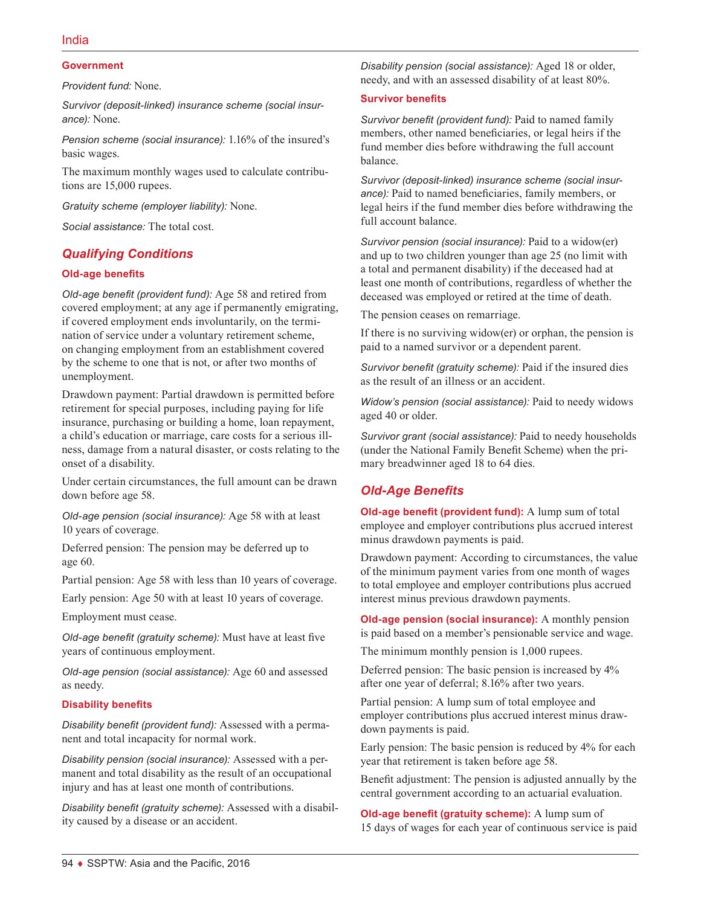#### **Government**

*Provident fund:* None.

*Survivor (deposit-linked) insurance scheme (social insurance):* None.

*Pension scheme (social insurance):* 1.16% of the insured's basic wages.

The maximum monthly wages used to calculate contributions are 15,000 rupees.

*Gratuity scheme (employer liability):* None.

*Social assistance:* The total cost.

#### *Qualifying Conditions*

#### **Old-age benefits**

*Old-age benefit (provident fund):* Age 58 and retired from covered employment; at any age if permanently emigrating, if covered employment ends involuntarily, on the termination of service under a voluntary retirement scheme, on changing employment from an establishment covered by the scheme to one that is not, or after two months of unemployment.

Drawdown payment: Partial drawdown is permitted before retirement for special purposes, including paying for life insurance, purchasing or building a home, loan repayment, a child's education or marriage, care costs for a serious illness, damage from a natural disaster, or costs relating to the onset of a disability.

Under certain circumstances, the full amount can be drawn down before age 58.

*Old-age pension (social insurance):* Age 58 with at least 10 years of coverage.

Deferred pension: The pension may be deferred up to age 60.

Partial pension: Age 58 with less than 10 years of coverage.

Early pension: Age 50 with at least 10 years of coverage.

Employment must cease.

*Old-age benefit (gratuity scheme):* Must have at least five years of continuous employment.

*Old-age pension (social assistance):* Age 60 and assessed as needy.

#### **Disability benefits**

*Disability benefit (provident fund):* Assessed with a permanent and total incapacity for normal work.

*Disability pension (social insurance):* Assessed with a permanent and total disability as the result of an occupational injury and has at least one month of contributions.

*Disability benefit (gratuity scheme):* Assessed with a disability caused by a disease or an accident.

*Disability pension (social assistance):* Aged 18 or older, needy, and with an assessed disability of at least 80%.

#### **Survivor benefits**

*Survivor benefit (provident fund):* Paid to named family members, other named beneficiaries, or legal heirs if the fund member dies before withdrawing the full account balance.

*Survivor (deposit-linked) insurance scheme (social insurance):* Paid to named beneficiaries, family members, or legal heirs if the fund member dies before withdrawing the full account balance.

*Survivor pension (social insurance):* Paid to a widow(er) and up to two children younger than age 25 (no limit with a total and permanent disability) if the deceased had at least one month of contributions, regardless of whether the deceased was employed or retired at the time of death.

The pension ceases on remarriage.

If there is no surviving widow(er) or orphan, the pension is paid to a named survivor or a dependent parent.

*Survivor benefit (gratuity scheme):* Paid if the insured dies as the result of an illness or an accident.

*Widow's pension (social assistance):* Paid to needy widows aged 40 or older.

*Survivor grant (social assistance):* Paid to needy households (under the National Family Benefit Scheme) when the primary breadwinner aged 18 to 64 dies.

### *Old-Age Benefits*

**Old-age benefit (provident fund):** A lump sum of total employee and employer contributions plus accrued interest minus drawdown payments is paid.

Drawdown payment: According to circumstances, the value of the minimum payment varies from one month of wages to total employee and employer contributions plus accrued interest minus previous drawdown payments.

**Old-age pension (social insurance):** A monthly pension is paid based on a member's pensionable service and wage.

The minimum monthly pension is 1,000 rupees.

Deferred pension: The basic pension is increased by 4% after one year of deferral; 8.16% after two years.

Partial pension: A lump sum of total employee and employer contributions plus accrued interest minus drawdown payments is paid.

Early pension: The basic pension is reduced by 4% for each year that retirement is taken before age 58.

Benefit adjustment: The pension is adjusted annually by the central government according to an actuarial evaluation.

**Old-age benefit (gratuity scheme):** A lump sum of 15 days of wages for each year of continuous service is paid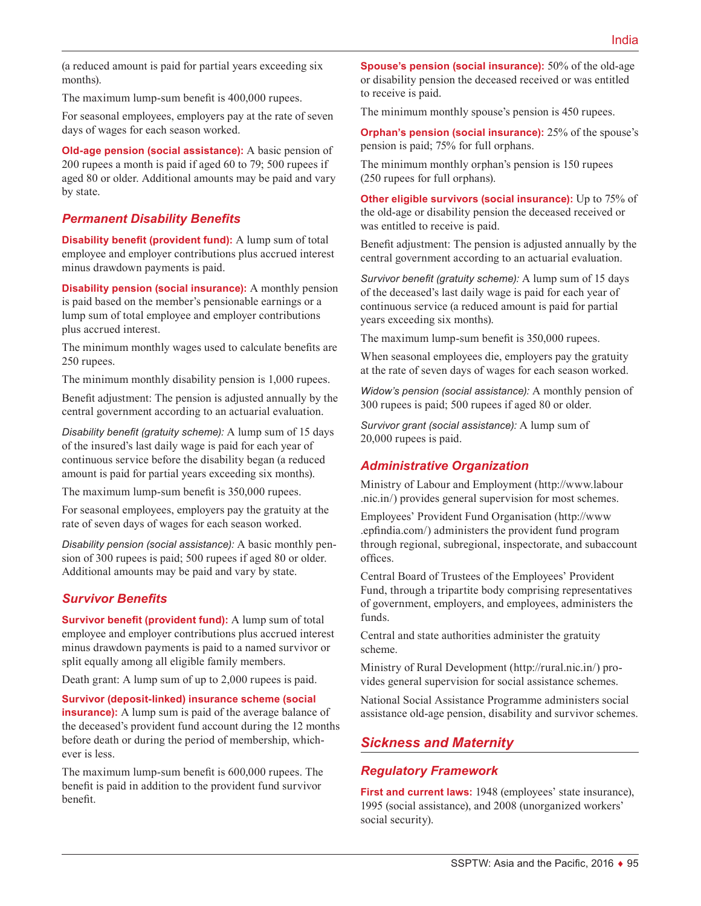(a reduced amount is paid for partial years exceeding six months).

The maximum lump-sum benefit is 400,000 rupees.

For seasonal employees, employers pay at the rate of seven days of wages for each season worked.

**Old-age pension (social assistance):** A basic pension of 200 rupees a month is paid if aged 60 to 79; 500 rupees if aged 80 or older. Additional amounts may be paid and vary by state.

#### *Permanent Disability Benefits*

**Disability benefit (provident fund):** A lump sum of total employee and employer contributions plus accrued interest minus drawdown payments is paid.

**Disability pension (social insurance):** A monthly pension is paid based on the member's pensionable earnings or a lump sum of total employee and employer contributions plus accrued interest.

The minimum monthly wages used to calculate benefits are 250 rupees.

The minimum monthly disability pension is 1,000 rupees.

Benefit adjustment: The pension is adjusted annually by the central government according to an actuarial evaluation.

*Disability benefit (gratuity scheme):* A lump sum of 15 days of the insured's last daily wage is paid for each year of continuous service before the disability began (a reduced amount is paid for partial years exceeding six months).

The maximum lump-sum benefit is 350,000 rupees.

For seasonal employees, employers pay the gratuity at the rate of seven days of wages for each season worked.

*Disability pension (social assistance):* A basic monthly pension of 300 rupees is paid; 500 rupees if aged 80 or older. Additional amounts may be paid and vary by state.

### *Survivor Benefits*

**Survivor benefit (provident fund):** A lump sum of total employee and employer contributions plus accrued interest minus drawdown payments is paid to a named survivor or split equally among all eligible family members.

Death grant: A lump sum of up to 2,000 rupees is paid.

**Survivor (deposit-linked) insurance scheme (social insurance**): A lump sum is paid of the average balance of

the deceased's provident fund account during the 12 months before death or during the period of membership, whichever is less.

The maximum lump-sum benefit is 600,000 rupees. The benefit is paid in addition to the provident fund survivor benefit.

**Spouse's pension (social insurance):** 50% of the old-age or disability pension the deceased received or was entitled to receive is paid.

The minimum monthly spouse's pension is 450 rupees.

**Orphan's pension (social insurance):** 25% of the spouse's pension is paid; 75% for full orphans.

The minimum monthly orphan's pension is 150 rupees (250 rupees for full orphans).

**Other eligible survivors (social insurance):** Up to 75% of the old-age or disability pension the deceased received or was entitled to receive is paid.

Benefit adjustment: The pension is adjusted annually by the central government according to an actuarial evaluation.

*Survivor benefit (gratuity scheme):* A lump sum of 15 days of the deceased's last daily wage is paid for each year of continuous service (a reduced amount is paid for partial years exceeding six months).

The maximum lump-sum benefit is 350,000 rupees.

When seasonal employees die, employers pay the gratuity at the rate of seven days of wages for each season worked.

*Widow's pension (social assistance):* A monthly pension of 300 rupees is paid; 500 rupees if aged 80 or older.

*Survivor grant (social assistance):* A lump sum of 20,000 rupees is paid.

### *Administrative Organization*

Ministry of Labour and Employment ([http://www.labour](http://www.labour.nic.in/) [.nic.in/](http://www.labour.nic.in/)) provides general supervision for most schemes.

Employees' Provident Fund Organisation ([http://www](http://www.epfindia.com/) [.epfindia.com](http://www.epfindia.com/)/) administers the provident fund program through regional, subregional, inspectorate, and subaccount offices.

Central Board of Trustees of the Employees' Provident Fund, through a tripartite body comprising representatives of government, employers, and employees, administers the funds.

Central and state authorities administer the gratuity scheme.

Ministry of Rural Development (<http://rural.nic.in/>) provides general supervision for social assistance schemes.

National Social Assistance Programme administers social assistance old-age pension, disability and survivor schemes.

# *Sickness and Maternity*

### *Regulatory Framework*

**First and current laws:** 1948 (employees' state insurance), 1995 (social assistance), and 2008 (unorganized workers' social security).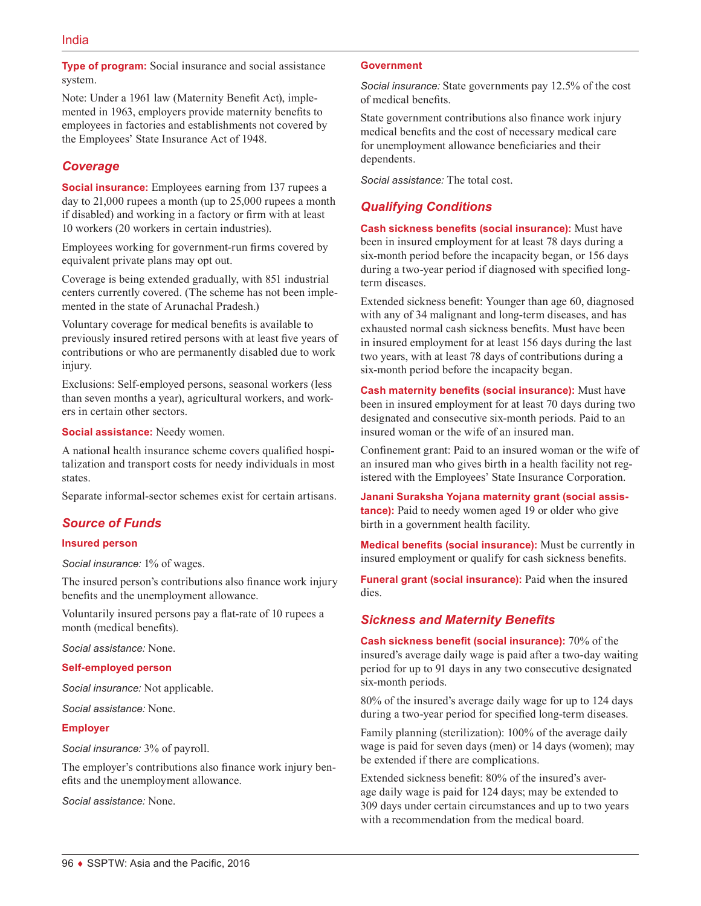**Type of program:** Social insurance and social assistance system.

Note: Under a 1961 law (Maternity Benefit Act), implemented in 1963, employers provide maternity benefits to employees in factories and establishments not covered by the Employees' State Insurance Act of 1948.

### *Coverage*

**Social insurance:** Employees earning from 137 rupees a day to 21,000 rupees a month (up to 25,000 rupees a month if disabled) and working in a factory or firm with at least 10 workers (20 workers in certain industries).

Employees working for government-run firms covered by equivalent private plans may opt out.

Coverage is being extended gradually, with 851 industrial centers currently covered. (The scheme has not been implemented in the state of Arunachal Pradesh.)

Voluntary coverage for medical benefits is available to previously insured retired persons with at least five years of contributions or who are permanently disabled due to work injury.

Exclusions: Self-employed persons, seasonal workers (less than seven months a year), agricultural workers, and workers in certain other sectors.

**Social assistance:** Needy women.

A national health insurance scheme covers qualified hospitalization and transport costs for needy individuals in most states.

Separate informal-sector schemes exist for certain artisans.

# *Source of Funds*

#### **Insured person**

*Social insurance:* 1% of wages.

The insured person's contributions also finance work injury benefits and the unemployment allowance.

Voluntarily insured persons pay a flat-rate of 10 rupees a month (medical benefits).

*Social assistance:* None.

#### **Self-employed person**

*Social insurance:* Not applicable.

*Social assistance:* None.

#### **Employer**

*Social insurance:* 3% of payroll.

The employer's contributions also finance work injury benefits and the unemployment allowance.

*Social assistance:* None.

#### **Government**

*Social insurance:* State governments pay 12.5% of the cost of medical benefits.

State government contributions also finance work injury medical benefits and the cost of necessary medical care for unemployment allowance beneficiaries and their dependents.

*Social assistance:* The total cost.

### *Qualifying Conditions*

**Cash sickness benefits (social insurance):** Must have been in insured employment for at least 78 days during a six-month period before the incapacity began, or 156 days during a two-year period if diagnosed with specified longterm diseases.

Extended sickness benefit: Younger than age 60, diagnosed with any of 34 malignant and long-term diseases, and has exhausted normal cash sickness benefits. Must have been in insured employment for at least 156 days during the last two years, with at least 78 days of contributions during a six-month period before the incapacity began.

**Cash maternity benefits (social insurance):** Must have been in insured employment for at least 70 days during two designated and consecutive six-month periods. Paid to an insured woman or the wife of an insured man.

Confinement grant: Paid to an insured woman or the wife of an insured man who gives birth in a health facility not registered with the Employees' State Insurance Corporation.

**Janani Suraksha Yojana maternity grant (social assistance):** Paid to needy women aged 19 or older who give birth in a government health facility.

**Medical benefits (social insurance):** Must be currently in insured employment or qualify for cash sickness benefits.

**Funeral grant (social insurance):** Paid when the insured dies.

### *Sickness and Maternity Benefits*

**Cash sickness benefit (social insurance):** 70% of the insured's average daily wage is paid after a two-day waiting period for up to 91 days in any two consecutive designated six-month periods.

80% of the insured's average daily wage for up to 124 days during a two-year period for specified long-term diseases.

Family planning (sterilization): 100% of the average daily wage is paid for seven days (men) or 14 days (women); may be extended if there are complications.

Extended sickness benefit: 80% of the insured's average daily wage is paid for 124 days; may be extended to 309 days under certain circumstances and up to two years with a recommendation from the medical board.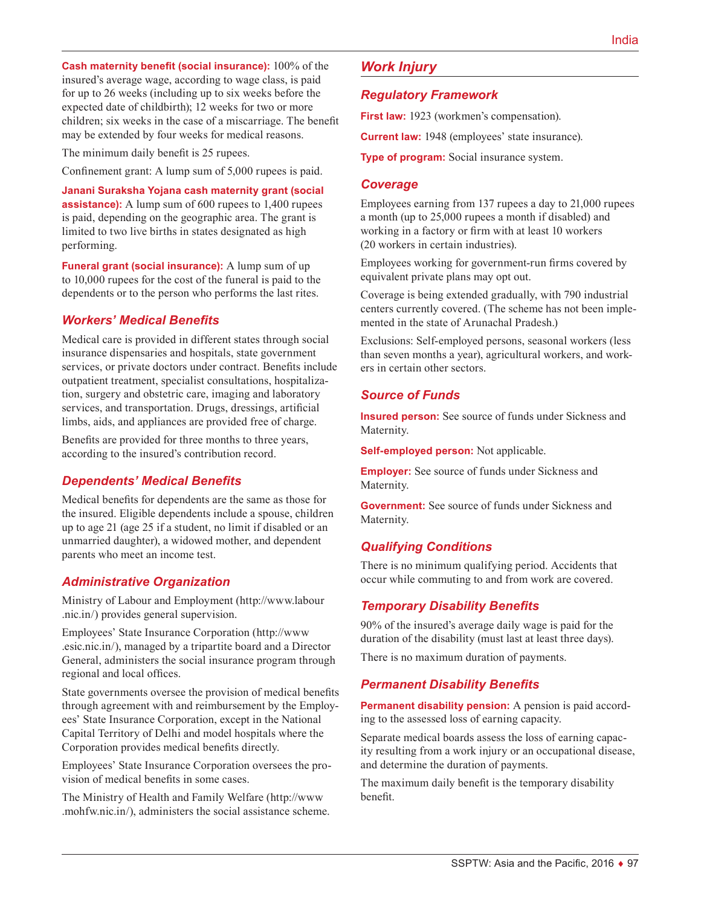**Cash maternity benefit (social insurance):** 100% of the insured's average wage, according to wage class, is paid for up to 26 weeks (including up to six weeks before the expected date of childbirth); 12 weeks for two or more children; six weeks in the case of a miscarriage. The benefit may be extended by four weeks for medical reasons.

The minimum daily benefit is 25 rupees.

Confinement grant: A lump sum of 5,000 rupees is paid.

**Janani Suraksha Yojana cash maternity grant (social assistance):** A lump sum of 600 rupees to 1,400 rupees is paid, depending on the geographic area. The grant is limited to two live births in states designated as high performing.

**Funeral grant (social insurance):** A lump sum of up to 10,000 rupees for the cost of the funeral is paid to the dependents or to the person who performs the last rites.

### *Workers' Medical Benefits*

Medical care is provided in different states through social insurance dispensaries and hospitals, state government services, or private doctors under contract. Benefits include outpatient treatment, specialist consultations, hospitalization, surgery and obstetric care, imaging and laboratory services, and transportation. Drugs, dressings, artificial limbs, aids, and appliances are provided free of charge.

Benefits are provided for three months to three years, according to the insured's contribution record.

### *Dependents' Medical Benefits*

Medical benefits for dependents are the same as those for the insured. Eligible dependents include a spouse, children up to age 21 (age 25 if a student, no limit if disabled or an unmarried daughter), a widowed mother, and dependent parents who meet an income test.

### *Administrative Organization*

Ministry of Labour and Employment ([http://www.labour](http://www.labour.nic.in/) [.nic.in/](http://www.labour.nic.in/)) provides general supervision.

Employees' State Insurance Corporation ([http://www](http://www.esic.nic.in/) [.esic.nic.in](http://www.esic.nic.in/)/), managed by a tripartite board and a Director General, administers the social insurance program through regional and local offices.

State governments oversee the provision of medical benefits through agreement with and reimbursement by the Employees' State Insurance Corporation, except in the National Capital Territory of Delhi and model hospitals where the Corporation provides medical benefits directly.

Employees' State Insurance Corporation oversees the provision of medical benefits in some cases.

The Ministry of Health and Family Welfare [\(http://www](http://www.mohfw.nic.in/) [.mohfw.nic.in/](http://www.mohfw.nic.in/)), administers the social assistance scheme.

# *Work Injury*

### *Regulatory Framework*

**First law:** 1923 (workmen's compensation).

**Current law:** 1948 (employees' state insurance).

**Type of program:** Social insurance system.

#### *Coverage*

Employees earning from 137 rupees a day to 21,000 rupees a month (up to 25,000 rupees a month if disabled) and working in a factory or firm with at least 10 workers (20 workers in certain industries).

Employees working for government-run firms covered by equivalent private plans may opt out.

Coverage is being extended gradually, with 790 industrial centers currently covered. (The scheme has not been implemented in the state of Arunachal Pradesh.)

Exclusions: Self-employed persons, seasonal workers (less than seven months a year), agricultural workers, and workers in certain other sectors.

### *Source of Funds*

**Insured person:** See source of funds under Sickness and Maternity.

**Self-employed person:** Not applicable.

**Employer:** See source of funds under Sickness and Maternity.

**Government:** See source of funds under Sickness and Maternity.

### *Qualifying Conditions*

There is no minimum qualifying period. Accidents that occur while commuting to and from work are covered.

### *Temporary Disability Benefits*

90% of the insured's average daily wage is paid for the duration of the disability (must last at least three days).

There is no maximum duration of payments.

### *Permanent Disability Benefits*

**Permanent disability pension:** A pension is paid according to the assessed loss of earning capacity.

Separate medical boards assess the loss of earning capacity resulting from a work injury or an occupational disease, and determine the duration of payments.

The maximum daily benefit is the temporary disability benefit.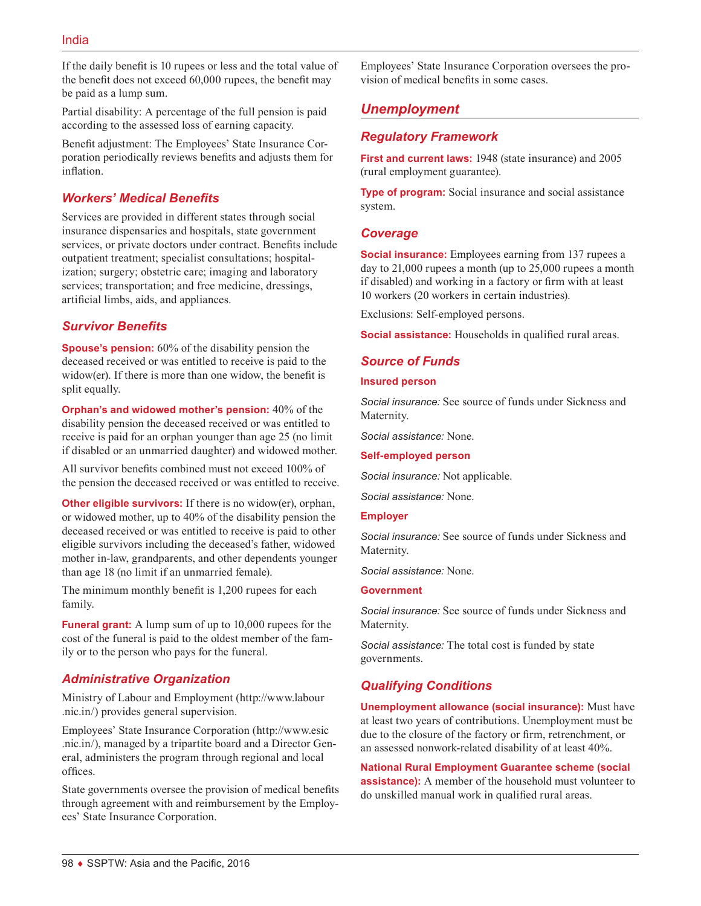If the daily benefit is 10 rupees or less and the total value of the benefit does not exceed 60,000 rupees, the benefit may be paid as a lump sum.

Partial disability: A percentage of the full pension is paid according to the assessed loss of earning capacity.

Benefit adjustment: The Employees' State Insurance Corporation periodically reviews benefits and adjusts them for inflation.

# *Workers' Medical Benefits*

Services are provided in different states through social insurance dispensaries and hospitals, state government services, or private doctors under contract. Benefits include outpatient treatment; specialist consultations; hospitalization; surgery; obstetric care; imaging and laboratory services; transportation; and free medicine, dressings, artificial limbs, aids, and appliances.

# *Survivor Benefits*

**Spouse's pension:** 60% of the disability pension the deceased received or was entitled to receive is paid to the widow(er). If there is more than one widow, the benefit is split equally.

**Orphan's and widowed mother's pension:** 40% of the disability pension the deceased received or was entitled to receive is paid for an orphan younger than age 25 (no limit if disabled or an unmarried daughter) and widowed mother.

All survivor benefits combined must not exceed 100% of the pension the deceased received or was entitled to receive.

**Other eligible survivors:** If there is no widow(er), orphan, or widowed mother, up to 40% of the disability pension the deceased received or was entitled to receive is paid to other eligible survivors including the deceased's father, widowed mother in-law, grandparents, and other dependents younger than age 18 (no limit if an unmarried female).

The minimum monthly benefit is 1,200 rupees for each family.

**Funeral grant:** A lump sum of up to 10,000 rupees for the cost of the funeral is paid to the oldest member of the family or to the person who pays for the funeral.

# *Administrative Organization*

Ministry of Labour and Employment ([http://www.labour](http://www.labour.nic.in/) [.nic.in/](http://www.labour.nic.in/)) provides general supervision.

Employees' State Insurance Corporation ([http://www.esic](http://www.esic.nic.in/) [.nic.in/](http://www.esic.nic.in/)), managed by a tripartite board and a Director General, administers the program through regional and local offices.

State governments oversee the provision of medical benefits through agreement with and reimbursement by the Employees' State Insurance Corporation.

Employees' State Insurance Corporation oversees the provision of medical benefits in some cases.

# *Unemployment*

## *Regulatory Framework*

**First and current laws:** 1948 (state insurance) and 2005 (rural employment guarantee).

**Type of program:** Social insurance and social assistance system.

### *Coverage*

**Social insurance:** Employees earning from 137 rupees a day to 21,000 rupees a month (up to 25,000 rupees a month if disabled) and working in a factory or firm with at least 10 workers (20 workers in certain industries).

Exclusions: Self-employed persons.

**Social assistance:** Households in qualified rural areas.

### *Source of Funds*

#### **Insured person**

*Social insurance:* See source of funds under Sickness and Maternity.

*Social assistance:* None.

**Self-employed person**

*Social insurance:* Not applicable.

*Social assistance:* None.

#### **Employer**

*Social insurance:* See source of funds under Sickness and Maternity.

*Social assistance:* None.

#### **Government**

*Social insurance:* See source of funds under Sickness and Maternity.

*Social assistance:* The total cost is funded by state governments.

# *Qualifying Conditions*

**Unemployment allowance (social insurance):** Must have at least two years of contributions. Unemployment must be due to the closure of the factory or firm, retrenchment, or an assessed nonwork-related disability of at least 40%.

**National Rural Employment Guarantee scheme (social assistance):** A member of the household must volunteer to do unskilled manual work in qualified rural areas.